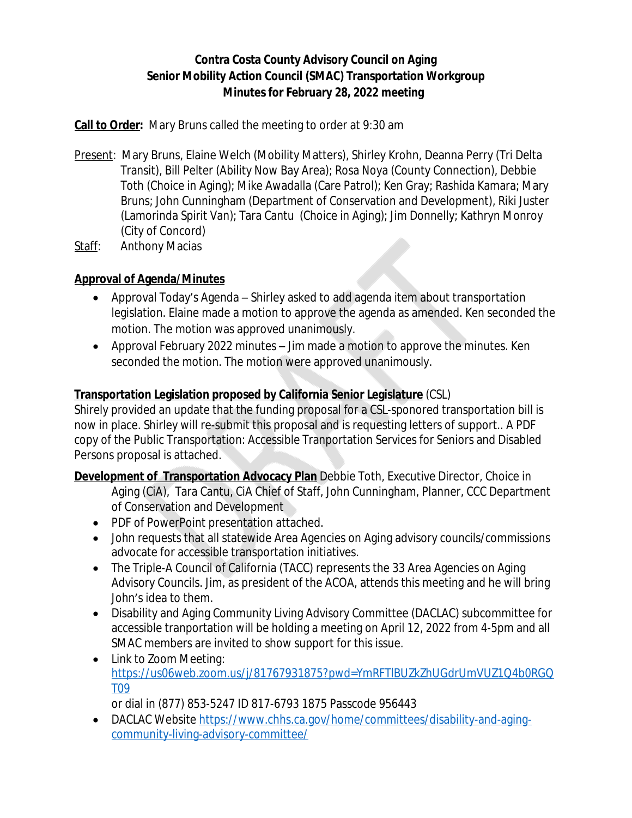# **Contra Costa County Advisory Council on Aging Senior Mobility Action Council (SMAC) Transportation Workgroup Minutes for February 28, 2022 meeting**

**Call to Order:** Mary Bruns called the meeting to order at 9:30 am

- Present: Mary Bruns, Elaine Welch (Mobility Matters), Shirley Krohn, Deanna Perry (Tri Delta Transit), Bill Pelter (Ability Now Bay Area); Rosa Noya (County Connection), Debbie Toth (Choice in Aging); Mike Awadalla (Care Patrol); Ken Gray; Rashida Kamara; Mary Bruns; John Cunningham (Department of Conservation and Development), Riki Juster (Lamorinda Spirit Van); Tara Cantu (Choice in Aging); Jim Donnelly; Kathryn Monroy (City of Concord)
- Staff: Anthony Macias

# **Approval of Agenda/Minutes**

- Approval Today's Agenda Shirley asked to add agenda item about transportation legislation. Elaine made a motion to approve the agenda as amended. Ken seconded the motion. The motion was approved unanimously.
- Approval February 2022 minutes Jim made a motion to approve the minutes. Ken seconded the motion. The motion were approved unanimously.

# **Transportation Legislation proposed by California Senior Legislature** (CSL)

Shirely provided an update that the funding proposal for a CSL-sponored transportation bill is now in place. Shirley will re-submit this proposal and is requesting letters of support.. A PDF copy of the Public Transportation: Accessible Tranportation Services for Seniors and Disabled Persons proposal is attached.

**Development of Transportation Advocacy Plan** Debbie Toth, Executive Director, Choice in Aging (CiA), Tara Cantu, CiA Chief of Staff, John Cunningham, Planner, CCC Department of Conservation and Development

- PDF of PowerPoint presentation attached.
- John requests that all statewide Area Agencies on Aging advisory councils/commissions advocate for accessible transportation initiatives.
- The Triple-A Council of California (TACC) represents the 33 Area Agencies on Aging Advisory Councils. Jim, as president of the ACOA, attends this meeting and he will bring John's idea to them.
- Disability and Aging Community Living Advisory Committee (DACLAC) subcommittee for accessible tranportation will be holding a meeting on April 12, 2022 from 4-5pm and all SMAC members are invited to show support for this issue.
- Link to Zoom Meeting: https://us06web.zoom.us/j/81767931875?pwd=YmRFTlBUZkZhUGdrUmVUZ1Q4b0RGQ T09

or dial in (877) 853-5247 ID 817-6793 1875 Passcode 956443

 DACLAC Website [https://www.chhs.ca.gov/home/committees/disability-and-aging](https://www.chhs.ca.gov/home/committees/disability-and-aging-community-living-advisory-committee/)community-living-advisory-committee/